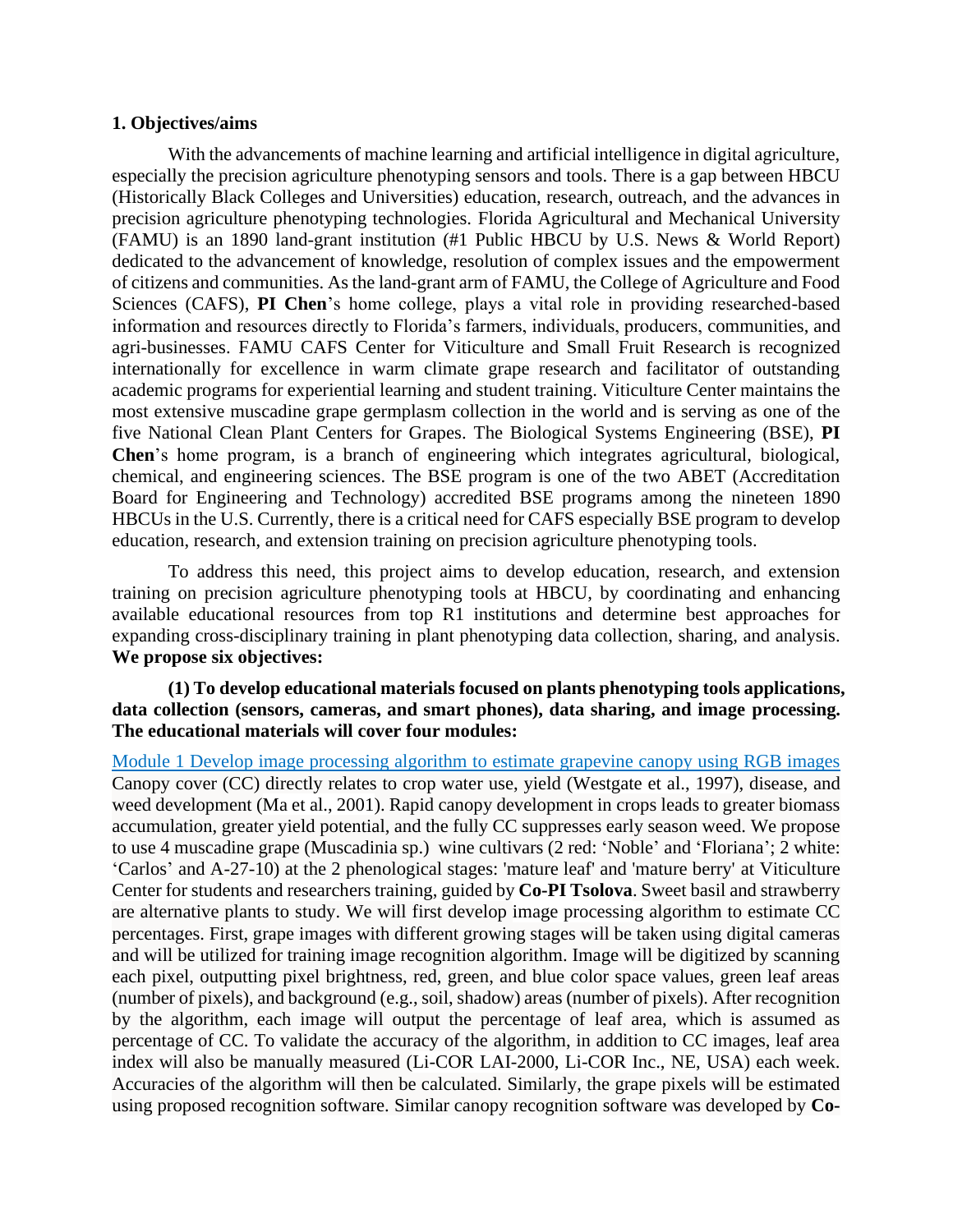## **1. Objectives/aims**

With the advancements of machine learning and artificial intelligence in digital agriculture, especially the precision agriculture phenotyping sensors and tools. There is a gap between HBCU (Historically Black Colleges and Universities) education, research, outreach, and the advances in precision agriculture phenotyping technologies. Florida Agricultural and Mechanical University (FAMU) is an 1890 land-grant institution (#1 Public HBCU by U.S. News & World Report) dedicated to the advancement of knowledge, resolution of complex issues and the empowerment of citizens and communities. As the land-grant arm of FAMU, the College of Agriculture and Food Sciences (CAFS), **PI Chen**'s home college, plays a vital role in providing researched-based information and resources directly to Florida's farmers, individuals, producers, communities, and agri-businesses. FAMU CAFS Center for Viticulture and Small Fruit Research is recognized internationally for excellence in warm climate grape research and facilitator of outstanding academic programs for experiential learning and student training. Viticulture Center maintains the most extensive muscadine grape germplasm collection in the world and is serving as one of the five National Clean Plant Centers for Grapes. The Biological Systems Engineering (BSE), **PI Chen**'s home program, is a branch of engineering which integrates agricultural, biological, chemical, and engineering sciences. The BSE program is one of the two ABET (Accreditation Board for Engineering and Technology) accredited BSE programs among the nineteen 1890 HBCUs in the U.S. Currently, there is a critical need for CAFS especially BSE program to develop education, research, and extension training on precision agriculture phenotyping tools.

To address this need, this project aims to develop education, research, and extension training on precision agriculture phenotyping tools at HBCU, by coordinating and enhancing available educational resources from top R1 institutions and determine best approaches for expanding cross-disciplinary training in plant phenotyping data collection, sharing, and analysis. **We propose six objectives:**

# **(1) To develop educational materials focused on plants phenotyping tools applications, data collection (sensors, cameras, and smart phones), data sharing, and image processing. The educational materials will cover four modules:**

Module 1 Develop image processing algorithm to estimate grapevine canopy using RGB images Canopy cover (CC) directly relates to crop water use, yield (Westgate et al., 1997), disease, and weed development (Ma et al., 2001). Rapid canopy development in crops leads to greater biomass accumulation, greater yield potential, and the fully CC suppresses early season weed. We propose to use 4 muscadine grape (Muscadinia sp.) wine cultivars (2 red: 'Noble' and 'Floriana'; 2 white: 'Carlos' and A-27-10) at the 2 phenological stages: 'mature leaf' and 'mature berry' at Viticulture Center for students and researchers training, guided by **Co-PI Tsolova**. Sweet basil and strawberry are alternative plants to study. We will first develop image processing algorithm to estimate CC percentages. First, grape images with different growing stages will be taken using digital cameras and will be utilized for training image recognition algorithm. Image will be digitized by scanning each pixel, outputting pixel brightness, red, green, and blue color space values, green leaf areas (number of pixels), and background (e.g., soil, shadow) areas (number of pixels). After recognition by the algorithm, each image will output the percentage of leaf area, which is assumed as percentage of CC. To validate the accuracy of the algorithm, in addition to CC images, leaf area index will also be manually measured (Li-COR LAI-2000, Li-COR Inc., NE, USA) each week. Accuracies of the algorithm will then be calculated. Similarly, the grape pixels will be estimated using proposed recognition software. Similar canopy recognition software was developed by **Co-**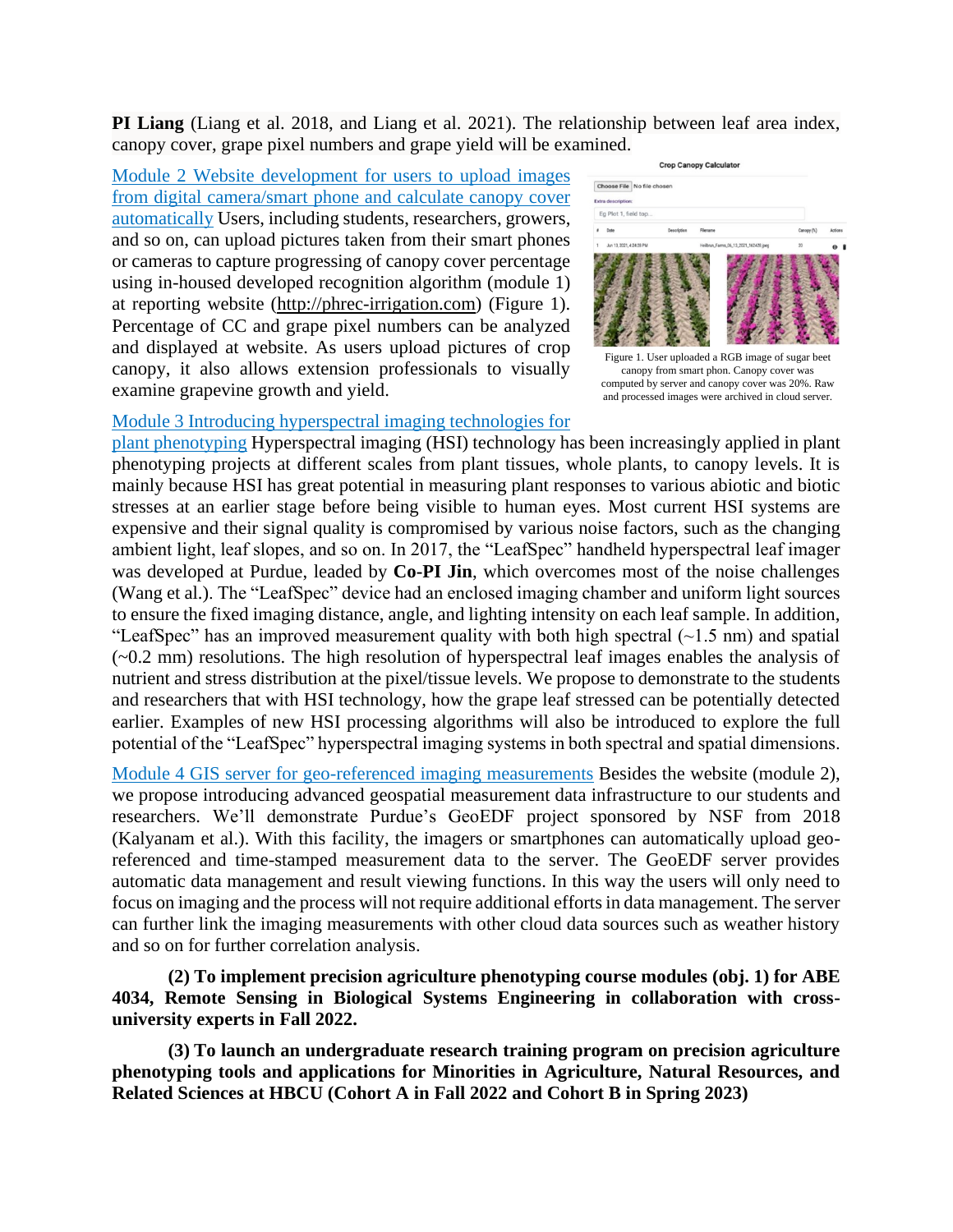**PI Liang** (Liang et al. 2018, and Liang et al. 2021). The relationship between leaf area index, canopy cover, grape pixel numbers and grape yield will be examined.

Module 2 Website development for users to upload images from digital camera/smart phone and calculate canopy cover automatically Users, including students, researchers, growers, and so on, can upload pictures taken from their smart phones or cameras to capture progressing of canopy cover percentage using in-housed developed recognition algorithm (module 1) at reporting website [\(http://phrec-irrigation.com\)](http://phrec-irrigation.com/) (Figure 1). Percentage of CC and grape pixel numbers can be analyzed and displayed at website. As users upload pictures of crop canopy, it also allows extension professionals to visually examine grapevine growth and yield.



Figure 1. User uploaded a RGB image of sugar beet canopy from smart phon. Canopy cover was computed by server and canopy cover was 20%. Raw and processed images were archived in cloud server.

# Module 3 Introducing hyperspectral imaging technologies for

plant phenotyping Hyperspectral imaging (HSI) technology has been increasingly applied in plant phenotyping projects at different scales from plant tissues, whole plants, to canopy levels. It is mainly because HSI has great potential in measuring plant responses to various abiotic and biotic stresses at an earlier stage before being visible to human eyes. Most current HSI systems are expensive and their signal quality is compromised by various noise factors, such as the changing ambient light, leaf slopes, and so on. In 2017, the "LeafSpec" handheld hyperspectral leaf imager was developed at Purdue, leaded by **Co-PI Jin**, which overcomes most of the noise challenges (Wang et al.). The "LeafSpec" device had an enclosed imaging chamber and uniform light sources to ensure the fixed imaging distance, angle, and lighting intensity on each leaf sample. In addition, "LeafSpec" has an improved measurement quality with both high spectral  $(\sim 1.5 \text{ nm})$  and spatial (~0.2 mm) resolutions. The high resolution of hyperspectral leaf images enables the analysis of nutrient and stress distribution at the pixel/tissue levels. We propose to demonstrate to the students and researchers that with HSI technology, how the grape leaf stressed can be potentially detected earlier. Examples of new HSI processing algorithms will also be introduced to explore the full potential of the "LeafSpec" hyperspectral imaging systems in both spectral and spatial dimensions.

Module 4 GIS server for geo-referenced imaging measurements Besides the website (module 2), we propose introducing advanced geospatial measurement data infrastructure to our students and researchers. We'll demonstrate Purdue's GeoEDF project sponsored by NSF from 2018 (Kalyanam et al.). With this facility, the imagers or smartphones can automatically upload georeferenced and time-stamped measurement data to the server. The GeoEDF server provides automatic data management and result viewing functions. In this way the users will only need to focus on imaging and the process will not require additional efforts in data management. The server can further link the imaging measurements with other cloud data sources such as weather history and so on for further correlation analysis.

**(2) To implement precision agriculture phenotyping course modules (obj. 1) for ABE 4034, Remote Sensing in Biological Systems Engineering in collaboration with crossuniversity experts in Fall 2022.**

**(3) To launch an undergraduate research training program on precision agriculture phenotyping tools and applications for Minorities in Agriculture, Natural Resources, and Related Sciences at HBCU (Cohort A in Fall 2022 and Cohort B in Spring 2023)**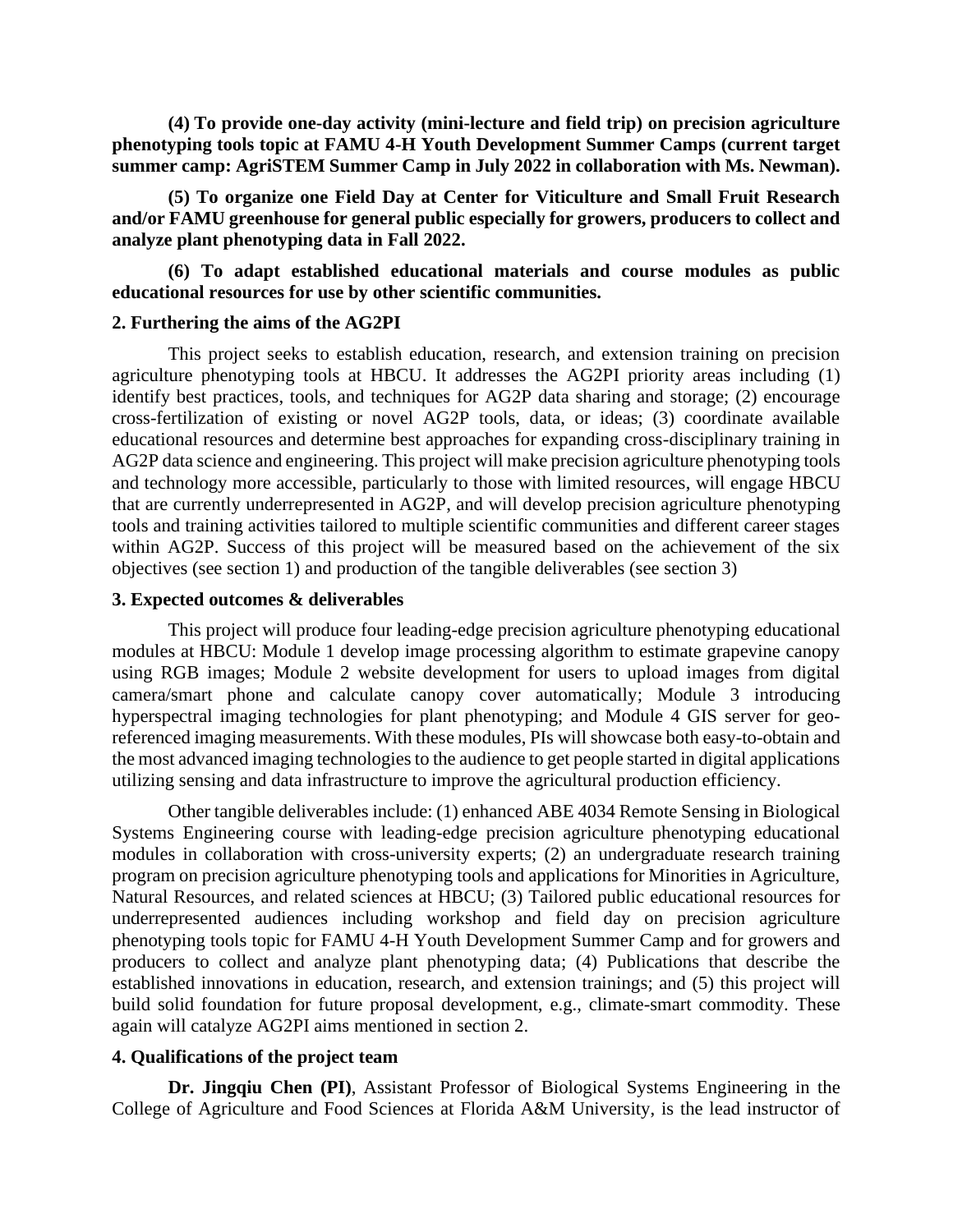**(4) To provide one-day activity (mini-lecture and field trip) on precision agriculture phenotyping tools topic at FAMU 4-H Youth Development Summer Camps (current target summer camp: AgriSTEM Summer Camp in July 2022 in collaboration with Ms. Newman).**

**(5) To organize one Field Day at Center for Viticulture and Small Fruit Research and/or FAMU greenhouse for general public especially for growers, producers to collect and analyze plant phenotyping data in Fall 2022.**

**(6) To adapt established educational materials and course modules as public educational resources for use by other scientific communities.**

#### **2. Furthering the aims of the AG2PI**

This project seeks to establish education, research, and extension training on precision agriculture phenotyping tools at HBCU. It addresses the AG2PI priority areas including (1) identify best practices, tools, and techniques for AG2P data sharing and storage; (2) encourage cross-fertilization of existing or novel AG2P tools, data, or ideas; (3) coordinate available educational resources and determine best approaches for expanding cross-disciplinary training in AG2P data science and engineering. This project will make precision agriculture phenotyping tools and technology more accessible, particularly to those with limited resources, will engage HBCU that are currently underrepresented in AG2P, and will develop precision agriculture phenotyping tools and training activities tailored to multiple scientific communities and different career stages within AG2P. Success of this project will be measured based on the achievement of the six objectives (see section 1) and production of the tangible deliverables (see section 3)

### **3. Expected outcomes & deliverables**

This project will produce four leading-edge precision agriculture phenotyping educational modules at HBCU: Module 1 develop image processing algorithm to estimate grapevine canopy using RGB images; Module 2 website development for users to upload images from digital camera/smart phone and calculate canopy cover automatically; Module 3 introducing hyperspectral imaging technologies for plant phenotyping; and Module 4 GIS server for georeferenced imaging measurements. With these modules, PIs will showcase both easy-to-obtain and the most advanced imaging technologies to the audience to get people started in digital applications utilizing sensing and data infrastructure to improve the agricultural production efficiency.

Other tangible deliverables include: (1) enhanced ABE 4034 Remote Sensing in Biological Systems Engineering course with leading-edge precision agriculture phenotyping educational modules in collaboration with cross-university experts; (2) an undergraduate research training program on precision agriculture phenotyping tools and applications for Minorities in Agriculture, Natural Resources, and related sciences at HBCU; (3) Tailored public educational resources for underrepresented audiences including workshop and field day on precision agriculture phenotyping tools topic for FAMU 4-H Youth Development Summer Camp and for growers and producers to collect and analyze plant phenotyping data; (4) Publications that describe the established innovations in education, research, and extension trainings; and (5) this project will build solid foundation for future proposal development, e.g., climate-smart commodity. These again will catalyze AG2PI aims mentioned in section 2.

## **4. Qualifications of the project team**

**Dr. Jingqiu Chen (PI)**, Assistant Professor of Biological Systems Engineering in the College of Agriculture and Food Sciences at Florida A&M University, is the lead instructor of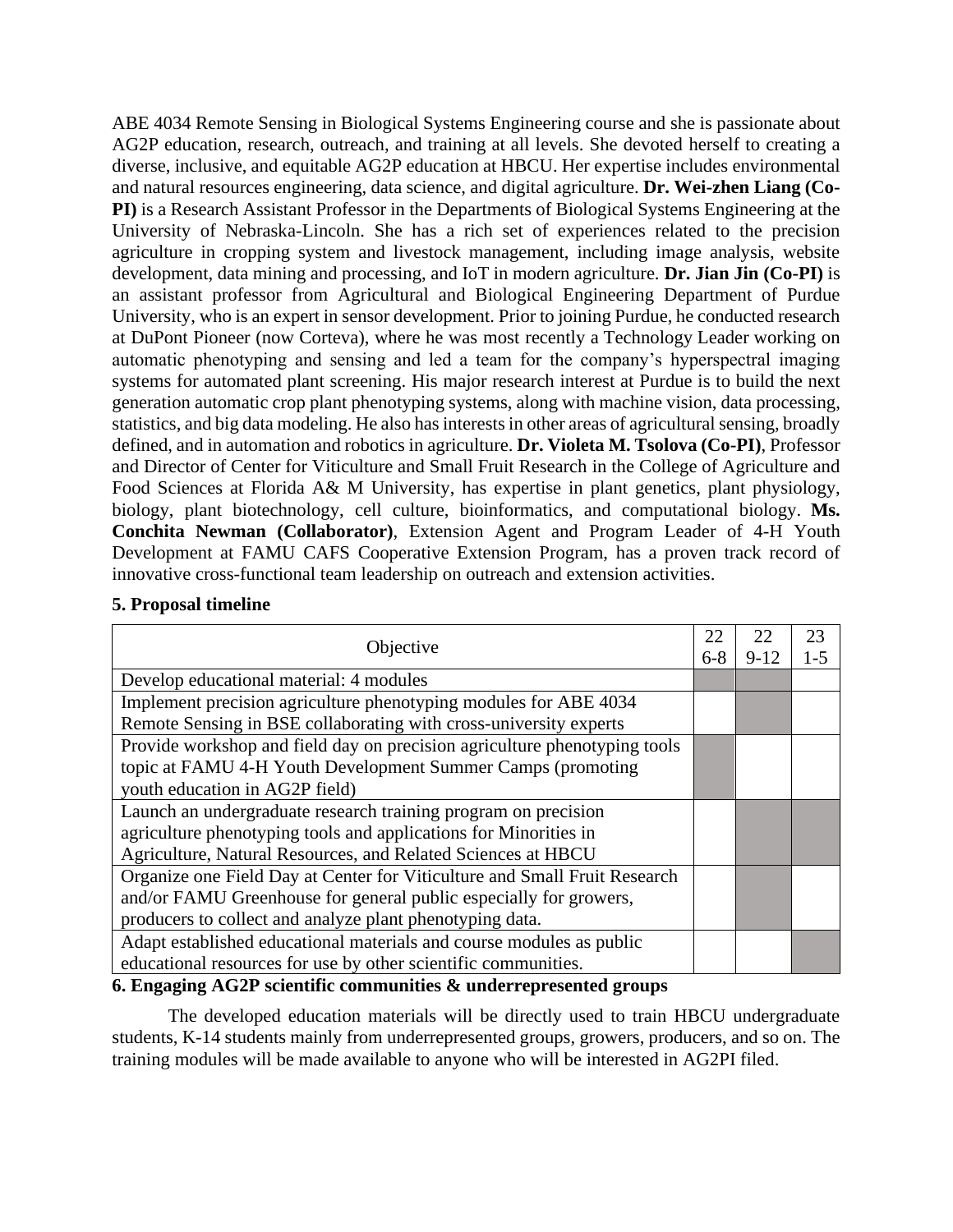ABE 4034 Remote Sensing in Biological Systems Engineering course and she is passionate about AG2P education, research, outreach, and training at all levels. She devoted herself to creating a diverse, inclusive, and equitable AG2P education at HBCU. Her expertise includes environmental and natural resources engineering, data science, and digital agriculture. **Dr. Wei-zhen Liang (Co-PI)** is a Research Assistant Professor in the Departments of Biological Systems Engineering at the University of Nebraska-Lincoln. She has a rich set of experiences related to the precision agriculture in cropping system and livestock management, including image analysis, website development, data mining and processing, and IoT in modern agriculture. **Dr. Jian Jin (Co-PI)** is an assistant professor from Agricultural and Biological Engineering Department of Purdue University, who is an expert in sensor development. Prior to joining Purdue, he conducted research at DuPont Pioneer (now Corteva), where he was most recently a Technology Leader working on automatic phenotyping and sensing and led a team for the company's hyperspectral imaging systems for automated plant screening. His major research interest at Purdue is to build the next generation automatic crop plant phenotyping systems, along with machine vision, data processing, statistics, and big data modeling. He also has interests in other areas of agricultural sensing, broadly defined, and in automation and robotics in agriculture. **Dr. Violeta M. Tsolova (Co-PI)**, Professor and Director of Center for Viticulture and Small Fruit Research in the College of Agriculture and Food Sciences at Florida A& M University, has expertise in plant genetics, plant physiology, biology, plant biotechnology, cell culture, bioinformatics, and computational biology. **Ms. Conchita Newman (Collaborator)**, Extension Agent and Program Leader of 4-H Youth Development at FAMU CAFS Cooperative Extension Program, has a proven track record of innovative cross-functional team leadership on outreach and extension activities.

### **5. Proposal timeline**

| Objective                                                                 | 22<br>$6 - 8$ | 22<br>$9 - 12$ | 23<br>$1 - 5$ |
|---------------------------------------------------------------------------|---------------|----------------|---------------|
| Develop educational material: 4 modules                                   |               |                |               |
| Implement precision agriculture phenotyping modules for ABE 4034          |               |                |               |
| Remote Sensing in BSE collaborating with cross-university experts         |               |                |               |
| Provide workshop and field day on precision agriculture phenotyping tools |               |                |               |
| topic at FAMU 4-H Youth Development Summer Camps (promoting               |               |                |               |
| youth education in AG2P field)                                            |               |                |               |
| Launch an undergraduate research training program on precision            |               |                |               |
| agriculture phenotyping tools and applications for Minorities in          |               |                |               |
| Agriculture, Natural Resources, and Related Sciences at HBCU              |               |                |               |
| Organize one Field Day at Center for Viticulture and Small Fruit Research |               |                |               |
| and/or FAMU Greenhouse for general public especially for growers,         |               |                |               |
| producers to collect and analyze plant phenotyping data.                  |               |                |               |
| Adapt established educational materials and course modules as public      |               |                |               |
| educational resources for use by other scientific communities.            |               |                |               |

## **6. Engaging AG2P scientific communities & underrepresented groups**

The developed education materials will be directly used to train HBCU undergraduate students, K-14 students mainly from underrepresented groups, growers, producers, and so on. The training modules will be made available to anyone who will be interested in AG2PI filed.